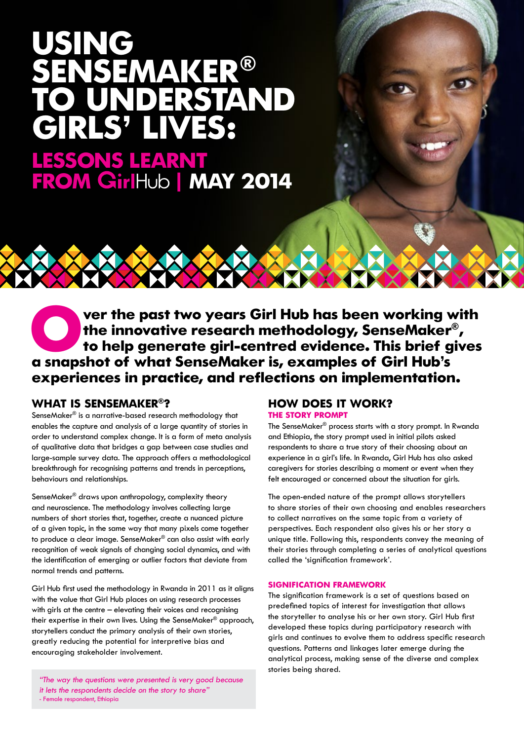# **USING SEMAKER®<br>UNDERSTAND IVES:**

**LESSONS LEARNT FROM | MAY 2014**

ver the past two years Girl Hub has been working with **the innovative research methodology, SenseMaker® , to help generate girl-centred evidence. This brief gives a snapshot of what SenseMaker is, examples of Girl Hub's experiences in practice, and reflections on implementation.**

## **WHAT IS SENSEMAKER®?**

SenseMaker® is a narrative-based research methodology that enables the capture and analysis of a large quantity of stories in order to understand complex change. It is a form of meta analysis of qualitative data that bridges a gap between case studies and large-sample survey data. The approach offers a methodological breakthrough for recognising patterns and trends in perceptions, behaviours and relationships.

SenseMaker® draws upon anthropology, complexity theory and neuroscience. The methodology involves collecting large numbers of short stories that, together, create a nuanced picture of a given topic, in the same way that many pixels come together to produce a clear image. SenseMaker® can also assist with early recognition of weak signals of changing social dynamics, and with the identification of emerging or outlier factors that deviate from normal trends and patterns.

Girl Hub first used the methodology in Rwanda in 2011 as it aligns with the value that Girl Hub places on using research processes with girls at the centre – elevating their voices and recognising their expertise in their own lives. Using the SenseMaker® approach, storytellers conduct the primary analysis of their own stories, greatly reducing the potential for interpretive bias and encouraging stakeholder involvement.

"The way the questions were presented is very good because it lets the respondents decide on the story to share" - Female respondent, Ethiopia

## **HOW DOES IT WORK? THE STORY PROMPT**

The SenseMaker® process starts with a story prompt. In Rwanda and Ethiopia, the story prompt used in initial pilots asked respondents to share a true story of their choosing about an experience in a girl's life. In Rwanda, Girl Hub has also asked caregivers for stories describing a moment or event when they felt encouraged or concerned about the situation for girls.

The open-ended nature of the prompt allows storytellers to share stories of their own choosing and enables researchers to collect narratives on the same topic from a variety of perspectives. Each respondent also gives his or her story a unique title. Following this, respondents convey the meaning of their stories through completing a series of analytical questions called the 'signification framework'.

## **SIGNIFICATION FRAMEWORK**

The signification framework is a set of questions based on predefined topics of interest for investigation that allows the storyteller to analyse his or her own story. Girl Hub first developed these topics during participatory research with girls and continues to evolve them to address specific research questions. Patterns and linkages later emerge during the analytical process, making sense of the diverse and complex stories being shared.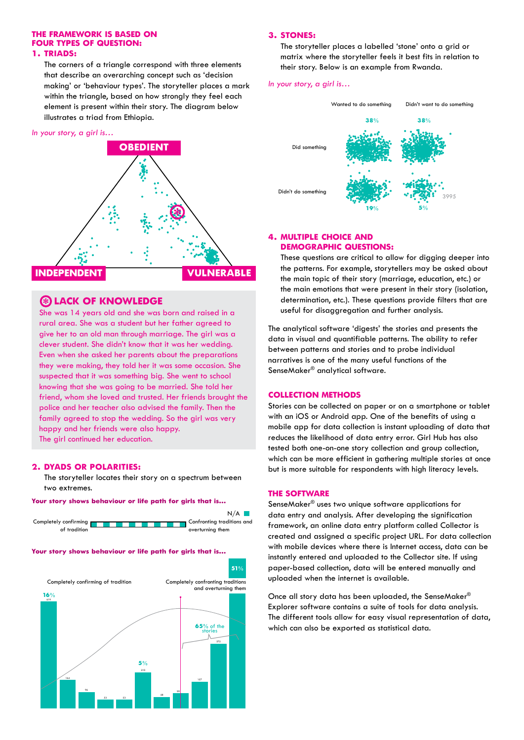## **THE FRAMEWORK IS BASED ON FOUR TYPES OF QUESTION: 1. TRIADS:**

The corners of a triangle correspond with three elements that describe an overarching concept such as 'decision making' or 'behaviour types'. The storyteller places a mark within the triangle, based on how strongly they feel each element is present within their story. The diagram below illustrates a triad from Ethiopia.

#### In your story, a girl is…



## **LACK OF KNOWLEDGE \***

She was 14 years old and she was born and raised in a rural area. She was a student but her father agreed to give her to an old man through marriage. The girl was a clever student. She didn't know that it was her wedding. Even when she asked her parents about the preparations they were making, they told her it was some occasion. She suspected that it was something big. She went to school knowing that she was going to be married. She told her friend, whom she loved and trusted. Her friends brought the police and her teacher also advised the family. Then the family agreed to stop the wedding. So the girl was very happy and her friends were also happy. The girl continued her education.

#### **2. DYADS OR POLARITIES:**

The storyteller locates their story on a spectrum between two extremes.

#### **Your story shows behaviour or life path for girls that is...**



#### **Your story shows behaviour or life path for girls that is...**



#### **3. STONES:**

The storyteller places a labelled 'stone' onto a grid or matrix where the storyteller feels it best fits in relation to their story. Below is an example from Rwanda.

In your story, a girl is…



## **4. MULTIPLE CHOICE AND**

These questions are critical to allow for digging deeper into the patterns. For example, storytellers may be asked about the main topic of their story (marriage, education, etc.) or the main emotions that were present in their story (isolation, determination, etc.). These questions provide filters that are useful for disaggregation and further analysis.

The analytical software 'digests' the stories and presents the data in visual and quantifiable patterns. The ability to refer between patterns and stories and to probe individual narratives is one of the many useful functions of the SenseMaker® analytical software.

#### **COLLECTION METHODS**

Stories can be collected on paper or on a smartphone or tablet with an iOS or Android app. One of the benefits of using a mobile app for data collection is instant uploading of data that reduces the likelihood of data entry error. Girl Hub has also tested both one-on-one story collection and group collection, which can be more efficient in gathering multiple stories at once but is more suitable for respondents with high literacy levels.

#### **THE SOFTWARE**

SenseMaker® uses two unique software applications for data entry and analysis. After developing the signification framework, an online data entry platform called Collector is created and assigned a specific project URL. For data collection with mobile devices where there is Internet access, data can be instantly entered and uploaded to the Collector site. If using paper-based collection, data will be entered manually and uploaded when the internet is available.

Once all story data has been uploaded, the SenseMaker® Explorer software contains a suite of tools for data analysis. The different tools allow for easy visual representation of data, which can also be exported as statistical data.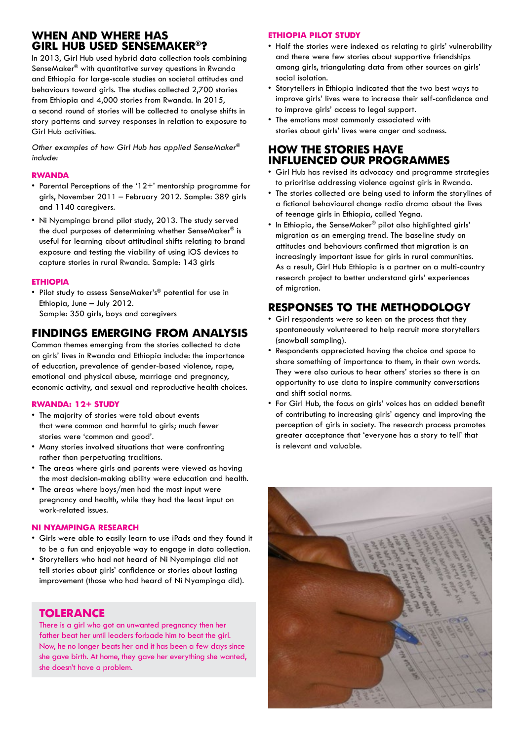## **WHEN AND WHERE HAS GIRL HUB USED SENSEMAKER®?**

In 2013, Girl Hub used hybrid data collection tools combining SenseMaker® with quantitative survey questions in Rwanda and Ethiopia for large-scale studies on societal attitudes and behaviours toward girls. The studies collected 2,700 stories from Ethiopia and 4,000 stories from Rwanda. In 2015, a second round of stories will be collected to analyse shifts in story patterns and survey responses in relation to exposure to Girl Hub activities.

Other examples of how Girl Hub has applied SenseMaker® include:

#### **RWANDA**

- • Parental Perceptions of the '12+' mentorship programme for girls, November 2011 – February 2012. Sample: 389 girls and 1140 caregivers.
- Ni Nyampinga brand pilot study, 2013. The study served the dual purposes of determining whether SenseMaker® is useful for learning about attitudinal shifts relating to brand exposure and testing the viability of using iOS devices to capture stories in rural Rwanda. Sample: 143 girls

## **ETHIOPIA**

• Pilot study to assess SenseMaker's® potential for use in Ethiopia, June – July 2012. Sample: 350 girls, boys and caregivers

## **FINDINGS EMERGING FROM ANALYSIS**

Common themes emerging from the stories collected to date on girls' lives in Rwanda and Ethiopia include: the importance of education, prevalence of gender-based violence, rape, emotional and physical abuse, marriage and pregnancy, economic activity, and sexual and reproductive health choices.

## **RWANDA: 12+ STUDY**

- The majority of stories were told about events that were common and harmful to girls; much fewer stories were 'common and good'.
- • Many stories involved situations that were confronting rather than perpetuating traditions.
- The areas where airls and parents were viewed as having the most decision-making ability were education and health.
- The areas where boys/men had the most input were pregnancy and health, while they had the least input on work-related issues.

## **NI NYAMPINGA RESEARCH**

- • Girls were able to easily learn to use iPads and they found it to be a fun and enjoyable way to engage in data collection.
- • Storytellers who had not heard of Ni Nyampinga did not tell stories about girls' confidence or stories about lasting improvement (those who had heard of Ni Nyampinga did).

## **TOLERANCE**

There is a girl who got an unwanted pregnancy then her father beat her until leaders forbade him to beat the girl. Now, he no longer beats her and it has been a few days since she gave birth. At home, they gave her everything she wanted, she doesn't have a problem.

## **ETHIOPIA PILOT STUDY**

- Half the stories were indexed as relating to girls' vulnerability and there were few stories about supportive friendships among girls, triangulating data from other sources on girls' social isolation.
- • Storytellers in Ethiopia indicated that the two best ways to improve girls' lives were to increase their self-confidence and to improve girls' access to legal support.
- • The emotions most commonly associated with stories about girls' lives were anger and sadness.

## **HOW THE STORIES HAVE INFLUENCED OUR PROGRAMMES**

- • Girl Hub has revised its advocacy and programme strategies to prioritise addressing violence against girls in Rwanda.
- The stories collected are being used to inform the storylines of a fictional behavioural change radio drama about the lives of teenage girls in Ethiopia, called Yegna.
- In Ethiopia, the SenseMaker® pilot also highlighted girls' migration as an emerging trend. The baseline study on attitudes and behaviours confirmed that migration is an increasingly important issue for girls in rural communities. As a result, Girl Hub Ethiopia is a partner on a multi-country research project to better understand girls' experiences of migration.

## **RESPONSES TO THE METHODOLOGY**

- • Girl respondents were so keen on the process that they spontaneously volunteered to help recruit more storytellers (snowball sampling).
- • Respondents appreciated having the choice and space to share something of importance to them, in their own words. They were also curious to hear others' stories so there is an opportunity to use data to inspire community conversations and shift social norms.
- • For Girl Hub, the focus on girls' voices has an added benefit of contributing to increasing girls' agency and improving the perception of girls in society. The research process promotes greater acceptance that 'everyone has a story to tell' that is relevant and valuable.